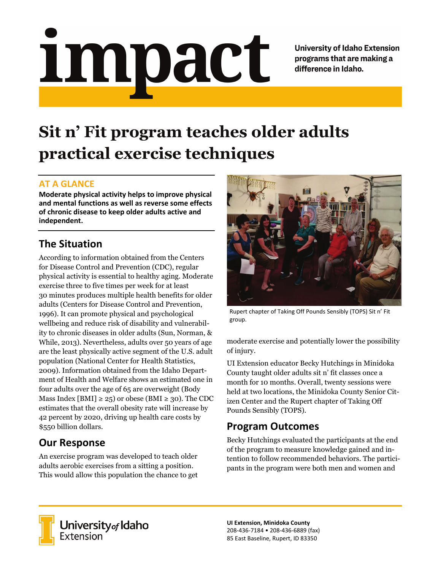# <u>impact</u>

**University of Idaho Extension** programs that are making a difference in Idaho.

# **Sit n' Fit program teaches older adults practical exercise techniques**

### **AT A GLANCE**

**Moderate physical activity helps to improve physical and mental functions as well as reverse some effects of chronic disease to keep older adults active and independent.**

### **The Situation**

According to information obtained from the Centers for Disease Control and Prevention (CDC), regular physical activity is essential to healthy aging. Moderate exercise three to five times per week for at least 30 minutes produces multiple health benefits for older adults (Centers for Disease Control and Prevention, 1996). It can promote physical and psychological wellbeing and reduce risk of disability and vulnerability to chronic diseases in older adults (Sun, Norman, & While, 2013). Nevertheless, adults over 50 years of age are the least physically active segment of the U.S. adult population (National Center for Health Statistics, 2009). Information obtained from the Idaho Department of Health and Welfare shows an estimated one in four adults over the age of 65 are overweight (Body Mass Index [BMI]  $\geq$  25) or obese (BMI  $\geq$  30). The CDC estimates that the overall obesity rate will increase by 42 percent by 2020, driving up health care costs by \$550 billion dollars.

## **Our Response**

An exercise program was developed to teach older adults aerobic exercises from a sitting a position. This would allow this population the chance to get



Rupert chapter of Taking Off Pounds Sensibly (TOPS) Sit n' Fit group.

moderate exercise and potentially lower the possibility of injury.

UI Extension educator Becky Hutchings in Minidoka County taught older adults sit n' fit classes once a month for 10 months. Overall, twenty sessions were held at two locations, the Minidoka County Senior Citizen Center and the Rupert chapter of Taking Off Pounds Sensibly (TOPS).

### **Program Outcomes**

Becky Hutchings evaluated the participants at the end of the program to measure knowledge gained and intention to follow recommended behaviors. The participants in the program were both men and women and



University of Idaho<br>Extension

**UI Extension, Minidoka County** 208-436-7184 • 208-436-6889 (fax) 85 East Baseline, Rupert, ID 83350